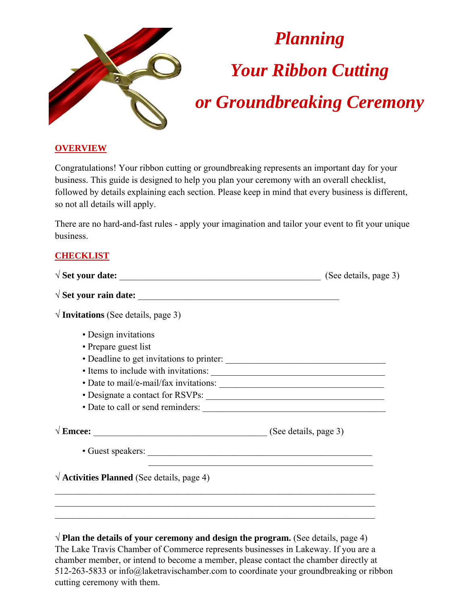

#### **OVERVIEW**

Congratulations! Your ribbon cutting or groundbreaking represents an important day for your business. This guide is designed to help you plan your ceremony with an overall checklist, followed by details explaining each section. Please keep in mind that every business is different, so not all details will apply.

There are no hard-and-fast rules - apply your imagination and tailor your event to fit your unique business.

#### **CHECKLIST**

| $\sqrt{2}$ Set your date:                                | (See details, page 3) |
|----------------------------------------------------------|-----------------------|
|                                                          |                       |
| $\sqrt{ }$ Invitations (See details, page 3)             |                       |
| • Design invitations                                     |                       |
| • Prepare guest list                                     |                       |
|                                                          |                       |
|                                                          |                       |
|                                                          |                       |
|                                                          |                       |
|                                                          |                       |
| $\sqrt{\text{Encee:}}$ (See details, page 3)             |                       |
|                                                          |                       |
| $\sqrt{\text{Activities Planned}}$ (See details, page 4) |                       |
|                                                          |                       |
|                                                          |                       |
|                                                          |                       |

√ **Plan the details of your ceremony and design the program.** (See details, page 4) The Lake Travis Chamber of Commerce represents businesses in Lakeway. If you are a chamber member, or intend to become a member, please contact the chamber directly at 512-263-5833 or info@laketravischamber.com to coordinate your groundbreaking or ribbon cutting ceremony with them.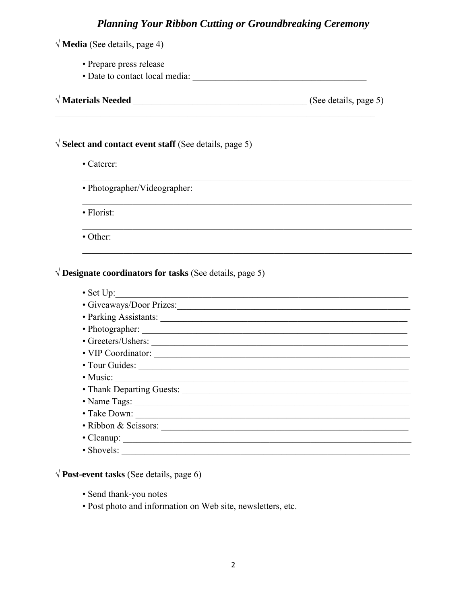| • Prepare press release                                                                                                                                                                                                        |  |
|--------------------------------------------------------------------------------------------------------------------------------------------------------------------------------------------------------------------------------|--|
| $\sqrt{\text{Materials Needed}}$ (See details, page 5)                                                                                                                                                                         |  |
|                                                                                                                                                                                                                                |  |
|                                                                                                                                                                                                                                |  |
| $\sqrt{S}$ Select and contact event staff (See details, page 5)                                                                                                                                                                |  |
| • Caterer:                                                                                                                                                                                                                     |  |
| • Photographer/Videographer:                                                                                                                                                                                                   |  |
| • Florist:                                                                                                                                                                                                                     |  |
| • Other:                                                                                                                                                                                                                       |  |
| $\sqrt{}$ Designate coordinators for tasks (See details, page 5)<br>• Set Up: $\sqrt{ }$                                                                                                                                       |  |
|                                                                                                                                                                                                                                |  |
| • Parking Assistants: 1988. [18] March 2014. [18] March 2014. [18] March 2014. [18] March 2014. [18] March 2014. [18] March 2014. [18] March 2014. [18] March 2014. [18] March 2014. [18] March 2014. [18] March 2014. [18] Ma |  |
|                                                                                                                                                                                                                                |  |
|                                                                                                                                                                                                                                |  |
|                                                                                                                                                                                                                                |  |
|                                                                                                                                                                                                                                |  |
| • Music:                                                                                                                                                                                                                       |  |
|                                                                                                                                                                                                                                |  |
|                                                                                                                                                                                                                                |  |
|                                                                                                                                                                                                                                |  |
|                                                                                                                                                                                                                                |  |
| • Ribbon & Scissors:                                                                                                                                                                                                           |  |

 $\sqrt{\text{Post-event tasks}}$  (See details, page 6)

- · Send thank-you notes
- · Post photo and information on Web site, newsletters, etc.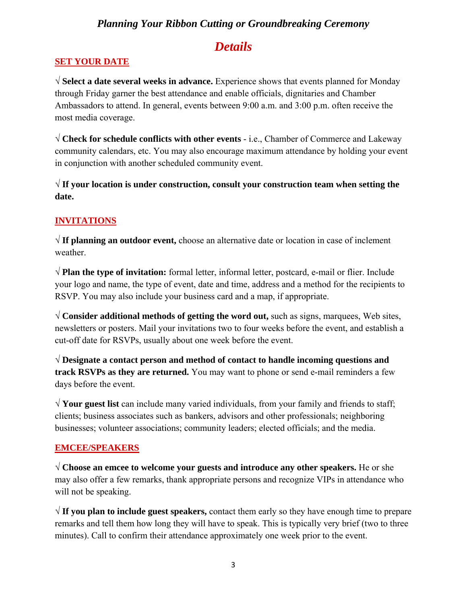## *Details*

#### **SET YOUR DATE**

√ **Select a date several weeks in advance.** Experience shows that events planned for Monday through Friday garner the best attendance and enable officials, dignitaries and Chamber Ambassadors to attend. In general, events between 9:00 a.m. and 3:00 p.m. often receive the most media coverage.

√ **Check for schedule conflicts with other events** - i.e., Chamber of Commerce and Lakeway community calendars, etc. You may also encourage maximum attendance by holding your event in conjunction with another scheduled community event.

√ **If your location is under construction, consult your construction team when setting the date.**

#### **INVITATIONS**

√ **If planning an outdoor event,** choose an alternative date or location in case of inclement weather.

√ **Plan the type of invitation:** formal letter, informal letter, postcard, e-mail or flier. Include your logo and name, the type of event, date and time, address and a method for the recipients to RSVP. You may also include your business card and a map, if appropriate.

√ **Consider additional methods of getting the word out,** such as signs, marquees, Web sites, newsletters or posters. Mail your invitations two to four weeks before the event, and establish a cut-off date for RSVPs, usually about one week before the event.

√ **Designate a contact person and method of contact to handle incoming questions and track RSVPs as they are returned.** You may want to phone or send e-mail reminders a few days before the event.

√ **Your guest list** can include many varied individuals, from your family and friends to staff; clients; business associates such as bankers, advisors and other professionals; neighboring businesses; volunteer associations; community leaders; elected officials; and the media.

#### **EMCEE/SPEAKERS**

√ **Choose an emcee to welcome your guests and introduce any other speakers.** He or she may also offer a few remarks, thank appropriate persons and recognize VIPs in attendance who will not be speaking.

√ **If you plan to include guest speakers,** contact them early so they have enough time to prepare remarks and tell them how long they will have to speak. This is typically very brief (two to three minutes). Call to confirm their attendance approximately one week prior to the event.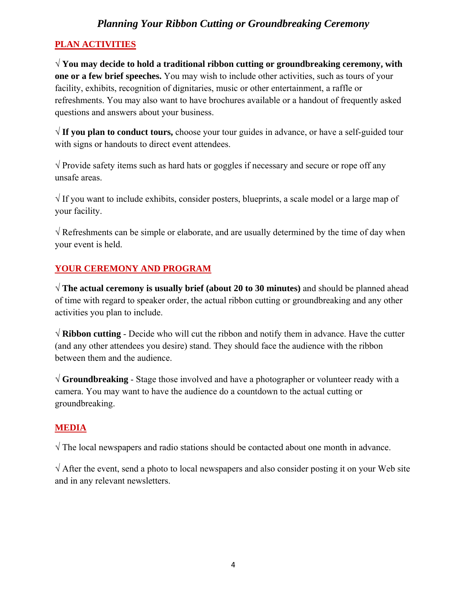## **PLAN ACTIVITIES**

√ **You may decide to hold a traditional ribbon cutting or groundbreaking ceremony, with one or a few brief speeches.** You may wish to include other activities, such as tours of your facility, exhibits, recognition of dignitaries, music or other entertainment, a raffle or refreshments. You may also want to have brochures available or a handout of frequently asked questions and answers about your business.

√ **If you plan to conduct tours,** choose your tour guides in advance, or have a self-guided tour with signs or handouts to direct event attendees.

 $\sqrt{\frac{1}{\pi}}$  Provide safety items such as hard hats or goggles if necessary and secure or rope off any unsafe areas.

 $\sqrt{1}$  If you want to include exhibits, consider posters, blueprints, a scale model or a large map of your facility.

 $\sqrt{R}$  Refreshments can be simple or elaborate, and are usually determined by the time of day when your event is held.

## YOUR CEREMONY AND PROGRAM

√ **The actual ceremony is usually brief (about 20 to 30 minutes)** and should be planned ahead of time with regard to speaker order, the actual ribbon cutting or groundbreaking and any other activities you plan to include.

√ **Ribbon cutting** - Decide who will cut the ribbon and notify them in advance. Have the cutter (and any other attendees you desire) stand. They should face the audience with the ribbon between them and the audience.

√ **Groundbreaking** - Stage those involved and have a photographer or volunteer ready with a camera. You may want to have the audience do a countdown to the actual cutting or groundbreaking.

## **MEDIA**

√ The local newspapers and radio stations should be contacted about one month in advance.

√ After the event, send a photo to local newspapers and also consider posting it on your Web site and in any relevant newsletters.